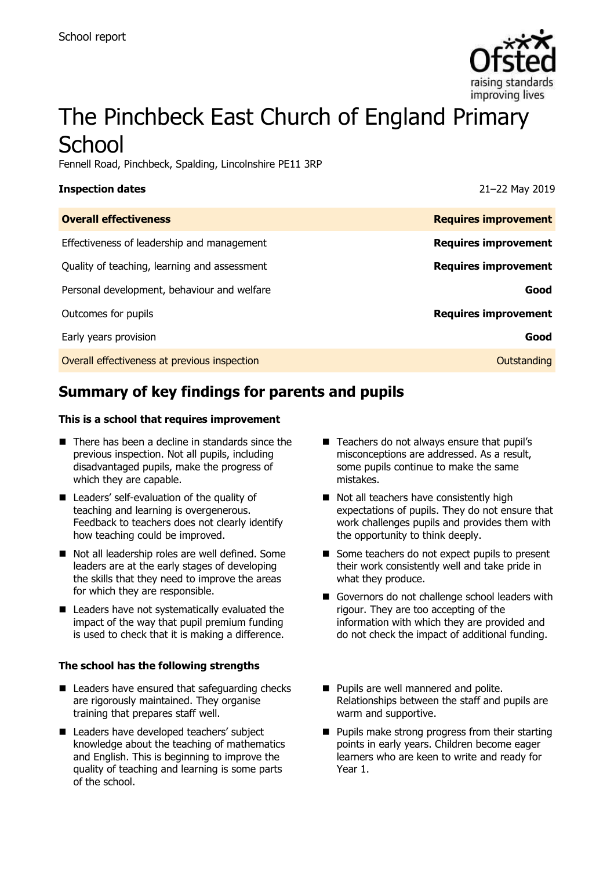

# The Pinchbeck East Church of England Primary **School**

Fennell Road, Pinchbeck, Spalding, Lincolnshire PE11 3RP

| <b>Inspection dates</b>                      | 21-22 May 2019              |
|----------------------------------------------|-----------------------------|
| <b>Overall effectiveness</b>                 | <b>Requires improvement</b> |
| Effectiveness of leadership and management   | <b>Requires improvement</b> |
| Quality of teaching, learning and assessment | <b>Requires improvement</b> |
| Personal development, behaviour and welfare  | Good                        |
| Outcomes for pupils                          | <b>Requires improvement</b> |
| Early years provision                        | Good                        |
| Overall effectiveness at previous inspection | Outstanding                 |

# **Summary of key findings for parents and pupils**

#### **This is a school that requires improvement**

- $\blacksquare$  There has been a decline in standards since the previous inspection. Not all pupils, including disadvantaged pupils, make the progress of which they are capable.
- **Leaders' self-evaluation of the quality of** teaching and learning is overgenerous. Feedback to teachers does not clearly identify how teaching could be improved.
- Not all leadership roles are well defined. Some leaders are at the early stages of developing the skills that they need to improve the areas for which they are responsible.
- Leaders have not systematically evaluated the impact of the way that pupil premium funding is used to check that it is making a difference.

#### **The school has the following strengths**

- Leaders have ensured that safeguarding checks are rigorously maintained. They organise training that prepares staff well.
- Leaders have developed teachers' subject knowledge about the teaching of mathematics and English. This is beginning to improve the quality of teaching and learning is some parts of the school.
- Teachers do not always ensure that pupil's misconceptions are addressed. As a result, some pupils continue to make the same mistakes.
- Not all teachers have consistently high expectations of pupils. They do not ensure that work challenges pupils and provides them with the opportunity to think deeply.
- Some teachers do not expect pupils to present their work consistently well and take pride in what they produce.
- Governors do not challenge school leaders with rigour. They are too accepting of the information with which they are provided and do not check the impact of additional funding.
- **Pupils are well mannered and polite.** Relationships between the staff and pupils are warm and supportive.
- **Pupils make strong progress from their starting** points in early years. Children become eager learners who are keen to write and ready for Year 1.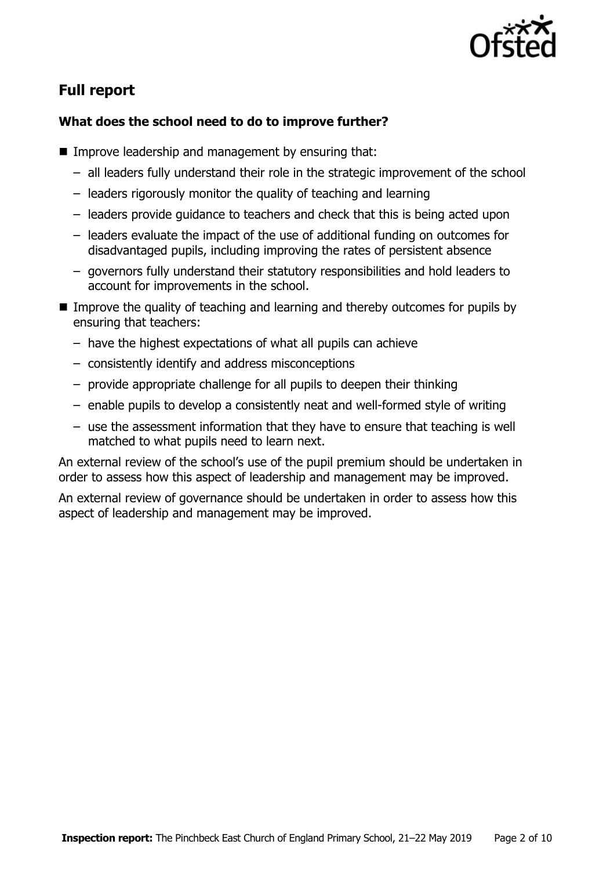

# **Full report**

### **What does the school need to do to improve further?**

- **IMPROVE LEADERSHIP and management by ensuring that:** 
	- all leaders fully understand their role in the strategic improvement of the school
	- leaders rigorously monitor the quality of teaching and learning
	- leaders provide guidance to teachers and check that this is being acted upon
	- leaders evaluate the impact of the use of additional funding on outcomes for disadvantaged pupils, including improving the rates of persistent absence
	- governors fully understand their statutory responsibilities and hold leaders to account for improvements in the school.
- Improve the quality of teaching and learning and thereby outcomes for pupils by ensuring that teachers:
	- have the highest expectations of what all pupils can achieve
	- consistently identify and address misconceptions
	- provide appropriate challenge for all pupils to deepen their thinking
	- enable pupils to develop a consistently neat and well-formed style of writing
	- use the assessment information that they have to ensure that teaching is well matched to what pupils need to learn next.

An external review of the school's use of the pupil premium should be undertaken in order to assess how this aspect of leadership and management may be improved.

An external review of governance should be undertaken in order to assess how this aspect of leadership and management may be improved.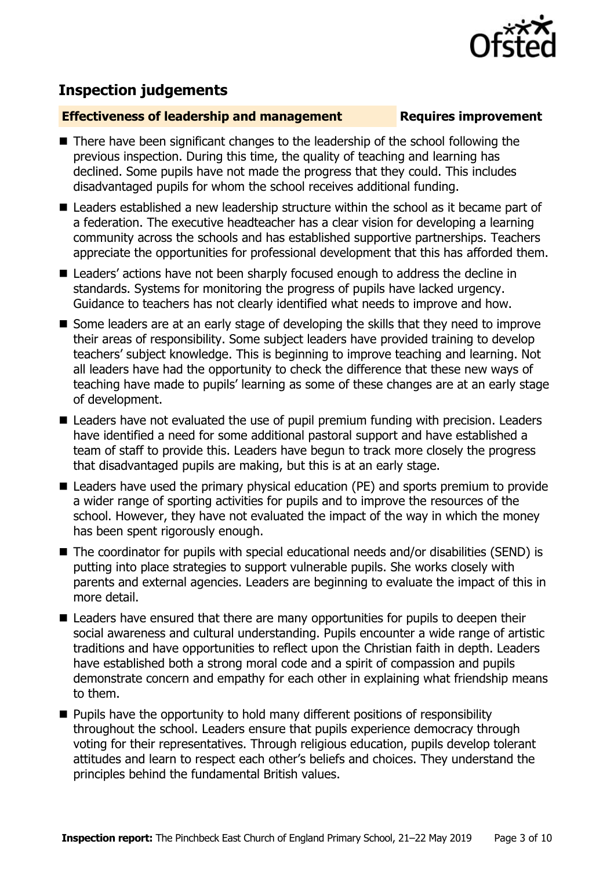

## **Inspection judgements**

#### **Effectiveness of leadership and management Requires improvement**

- There have been significant changes to the leadership of the school following the previous inspection. During this time, the quality of teaching and learning has declined. Some pupils have not made the progress that they could. This includes disadvantaged pupils for whom the school receives additional funding.
- Leaders established a new leadership structure within the school as it became part of a federation. The executive headteacher has a clear vision for developing a learning community across the schools and has established supportive partnerships. Teachers appreciate the opportunities for professional development that this has afforded them.
- Leaders' actions have not been sharply focused enough to address the decline in standards. Systems for monitoring the progress of pupils have lacked urgency. Guidance to teachers has not clearly identified what needs to improve and how.
- Some leaders are at an early stage of developing the skills that they need to improve their areas of responsibility. Some subject leaders have provided training to develop teachers' subject knowledge. This is beginning to improve teaching and learning. Not all leaders have had the opportunity to check the difference that these new ways of teaching have made to pupils' learning as some of these changes are at an early stage of development.
- Leaders have not evaluated the use of pupil premium funding with precision. Leaders have identified a need for some additional pastoral support and have established a team of staff to provide this. Leaders have begun to track more closely the progress that disadvantaged pupils are making, but this is at an early stage.
- Leaders have used the primary physical education (PE) and sports premium to provide a wider range of sporting activities for pupils and to improve the resources of the school. However, they have not evaluated the impact of the way in which the money has been spent rigorously enough.
- The coordinator for pupils with special educational needs and/or disabilities (SEND) is putting into place strategies to support vulnerable pupils. She works closely with parents and external agencies. Leaders are beginning to evaluate the impact of this in more detail.
- Leaders have ensured that there are many opportunities for pupils to deepen their social awareness and cultural understanding. Pupils encounter a wide range of artistic traditions and have opportunities to reflect upon the Christian faith in depth. Leaders have established both a strong moral code and a spirit of compassion and pupils demonstrate concern and empathy for each other in explaining what friendship means to them.
- **Pupils have the opportunity to hold many different positions of responsibility** throughout the school. Leaders ensure that pupils experience democracy through voting for their representatives. Through religious education, pupils develop tolerant attitudes and learn to respect each other's beliefs and choices. They understand the principles behind the fundamental British values.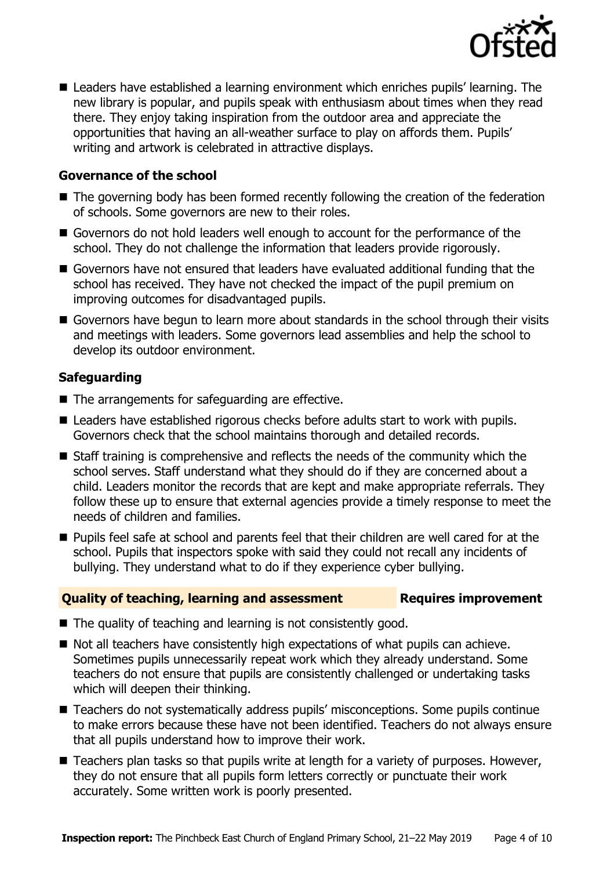

■ Leaders have established a learning environment which enriches pupils' learning. The new library is popular, and pupils speak with enthusiasm about times when they read there. They enjoy taking inspiration from the outdoor area and appreciate the opportunities that having an all-weather surface to play on affords them. Pupils' writing and artwork is celebrated in attractive displays.

#### **Governance of the school**

- The governing body has been formed recently following the creation of the federation of schools. Some governors are new to their roles.
- Governors do not hold leaders well enough to account for the performance of the school. They do not challenge the information that leaders provide rigorously.
- Governors have not ensured that leaders have evaluated additional funding that the school has received. They have not checked the impact of the pupil premium on improving outcomes for disadvantaged pupils.
- Governors have begun to learn more about standards in the school through their visits and meetings with leaders. Some governors lead assemblies and help the school to develop its outdoor environment.

#### **Safeguarding**

- The arrangements for safeguarding are effective.
- Leaders have established rigorous checks before adults start to work with pupils. Governors check that the school maintains thorough and detailed records.
- Staff training is comprehensive and reflects the needs of the community which the school serves. Staff understand what they should do if they are concerned about a child. Leaders monitor the records that are kept and make appropriate referrals. They follow these up to ensure that external agencies provide a timely response to meet the needs of children and families.
- **Pupils feel safe at school and parents feel that their children are well cared for at the** school. Pupils that inspectors spoke with said they could not recall any incidents of bullying. They understand what to do if they experience cyber bullying.

#### **Quality of teaching, learning and assessment Requires improvement**

- The quality of teaching and learning is not consistently good.
- Not all teachers have consistently high expectations of what pupils can achieve. Sometimes pupils unnecessarily repeat work which they already understand. Some teachers do not ensure that pupils are consistently challenged or undertaking tasks which will deepen their thinking.
- Teachers do not systematically address pupils' misconceptions. Some pupils continue to make errors because these have not been identified. Teachers do not always ensure that all pupils understand how to improve their work.
- Teachers plan tasks so that pupils write at length for a variety of purposes. However, they do not ensure that all pupils form letters correctly or punctuate their work accurately. Some written work is poorly presented.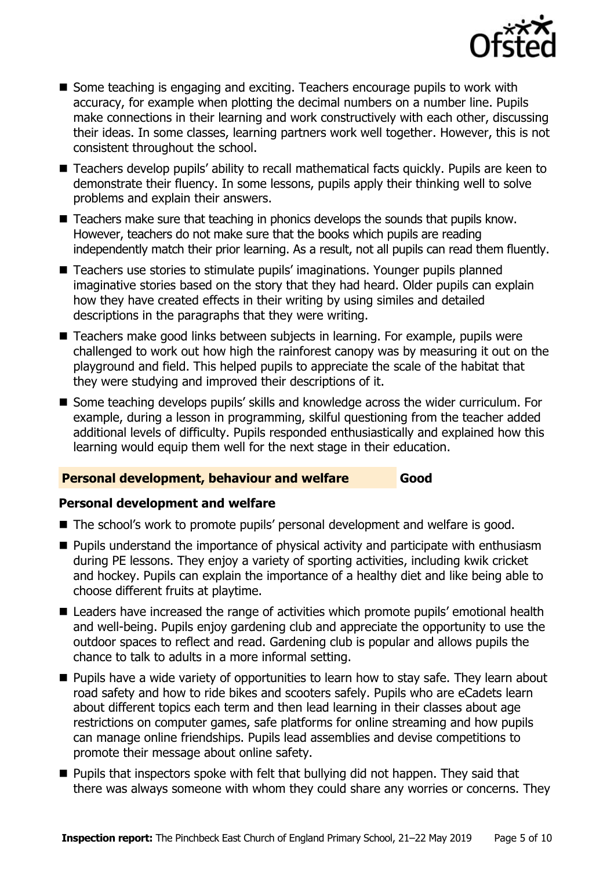

- Some teaching is engaging and exciting. Teachers encourage pupils to work with accuracy, for example when plotting the decimal numbers on a number line. Pupils make connections in their learning and work constructively with each other, discussing their ideas. In some classes, learning partners work well together. However, this is not consistent throughout the school.
- Teachers develop pupils' ability to recall mathematical facts quickly. Pupils are keen to demonstrate their fluency. In some lessons, pupils apply their thinking well to solve problems and explain their answers.
- Teachers make sure that teaching in phonics develops the sounds that pupils know. However, teachers do not make sure that the books which pupils are reading independently match their prior learning. As a result, not all pupils can read them fluently.
- Teachers use stories to stimulate pupils' imaginations. Younger pupils planned imaginative stories based on the story that they had heard. Older pupils can explain how they have created effects in their writing by using similes and detailed descriptions in the paragraphs that they were writing.
- Teachers make good links between subjects in learning. For example, pupils were challenged to work out how high the rainforest canopy was by measuring it out on the playground and field. This helped pupils to appreciate the scale of the habitat that they were studying and improved their descriptions of it.
- Some teaching develops pupils' skills and knowledge across the wider curriculum. For example, during a lesson in programming, skilful questioning from the teacher added additional levels of difficulty. Pupils responded enthusiastically and explained how this learning would equip them well for the next stage in their education.

#### **Personal development, behaviour and welfare Good**

### **Personal development and welfare**

- The school's work to promote pupils' personal development and welfare is good.
- **Pupils understand the importance of physical activity and participate with enthusiasm** during PE lessons. They enjoy a variety of sporting activities, including kwik cricket and hockey. Pupils can explain the importance of a healthy diet and like being able to choose different fruits at playtime.
- Leaders have increased the range of activities which promote pupils' emotional health and well-being. Pupils enjoy gardening club and appreciate the opportunity to use the outdoor spaces to reflect and read. Gardening club is popular and allows pupils the chance to talk to adults in a more informal setting.
- **Pupils have a wide variety of opportunities to learn how to stay safe. They learn about** road safety and how to ride bikes and scooters safely. Pupils who are eCadets learn about different topics each term and then lead learning in their classes about age restrictions on computer games, safe platforms for online streaming and how pupils can manage online friendships. Pupils lead assemblies and devise competitions to promote their message about online safety.
- **Pupils that inspectors spoke with felt that bullying did not happen. They said that** there was always someone with whom they could share any worries or concerns. They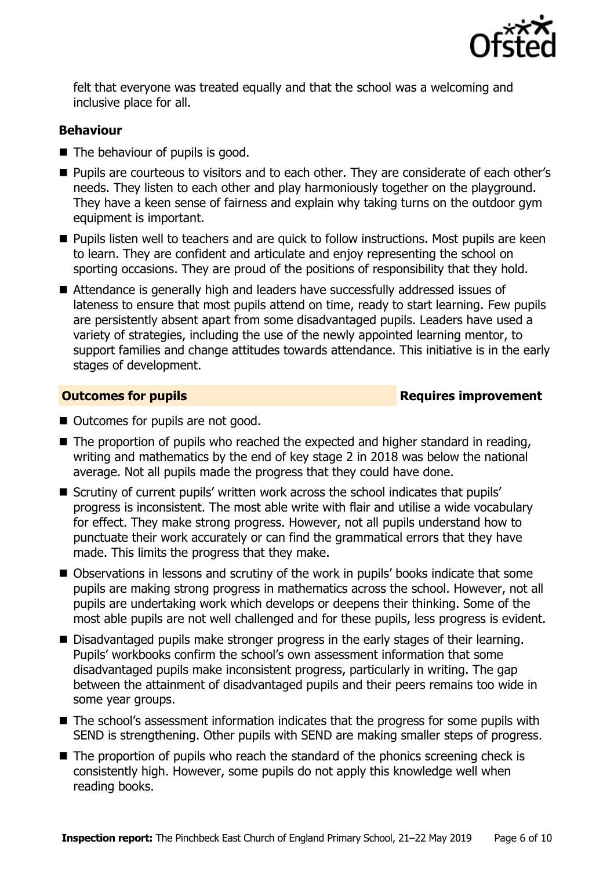

felt that everyone was treated equally and that the school was a welcoming and inclusive place for all.

#### **Behaviour**

- The behaviour of pupils is good.
- **Pupils are courteous to visitors and to each other. They are considerate of each other's** needs. They listen to each other and play harmoniously together on the playground. They have a keen sense of fairness and explain why taking turns on the outdoor gym equipment is important.
- **Pupils listen well to teachers and are quick to follow instructions. Most pupils are keen** to learn. They are confident and articulate and enjoy representing the school on sporting occasions. They are proud of the positions of responsibility that they hold.
- Attendance is generally high and leaders have successfully addressed issues of lateness to ensure that most pupils attend on time, ready to start learning. Few pupils are persistently absent apart from some disadvantaged pupils. Leaders have used a variety of strategies, including the use of the newly appointed learning mentor, to support families and change attitudes towards attendance. This initiative is in the early stages of development.

**Outcomes for pupils Requires improvement** 

- Outcomes for pupils are not good.
- The proportion of pupils who reached the expected and higher standard in reading, writing and mathematics by the end of key stage 2 in 2018 was below the national average. Not all pupils made the progress that they could have done.
- Scrutiny of current pupils' written work across the school indicates that pupils' progress is inconsistent. The most able write with flair and utilise a wide vocabulary for effect. They make strong progress. However, not all pupils understand how to punctuate their work accurately or can find the grammatical errors that they have made. This limits the progress that they make.
- Observations in lessons and scrutiny of the work in pupils' books indicate that some pupils are making strong progress in mathematics across the school. However, not all pupils are undertaking work which develops or deepens their thinking. Some of the most able pupils are not well challenged and for these pupils, less progress is evident.
- Disadvantaged pupils make stronger progress in the early stages of their learning. Pupils' workbooks confirm the school's own assessment information that some disadvantaged pupils make inconsistent progress, particularly in writing. The gap between the attainment of disadvantaged pupils and their peers remains too wide in some year groups.
- The school's assessment information indicates that the progress for some pupils with SEND is strengthening. Other pupils with SEND are making smaller steps of progress.
- $\blacksquare$  The proportion of pupils who reach the standard of the phonics screening check is consistently high. However, some pupils do not apply this knowledge well when reading books.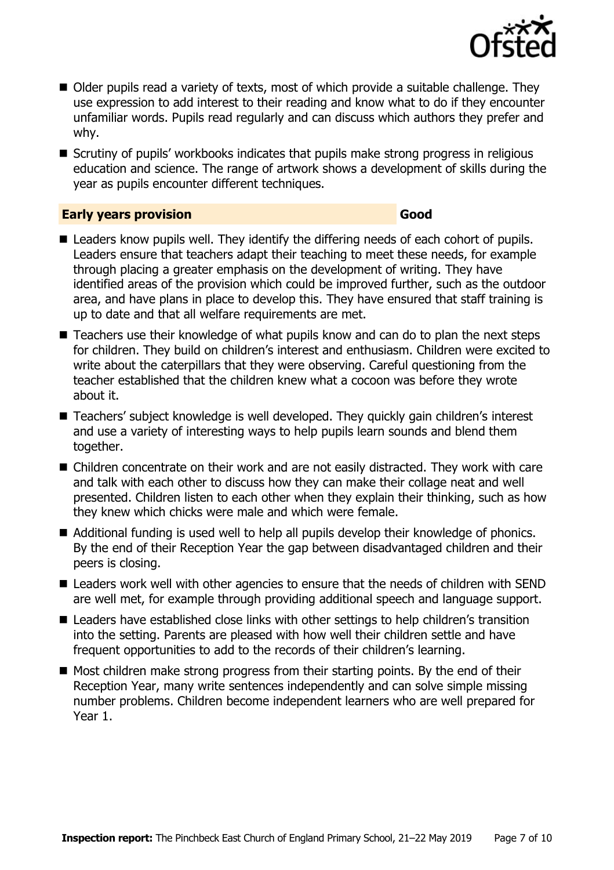

- Older pupils read a variety of texts, most of which provide a suitable challenge. They use expression to add interest to their reading and know what to do if they encounter unfamiliar words. Pupils read regularly and can discuss which authors they prefer and why.
- Scrutiny of pupils' workbooks indicates that pupils make strong progress in religious education and science. The range of artwork shows a development of skills during the year as pupils encounter different techniques.

#### **Early years provision Good**

- Leaders know pupils well. They identify the differing needs of each cohort of pupils. Leaders ensure that teachers adapt their teaching to meet these needs, for example through placing a greater emphasis on the development of writing. They have identified areas of the provision which could be improved further, such as the outdoor area, and have plans in place to develop this. They have ensured that staff training is up to date and that all welfare requirements are met.
- Teachers use their knowledge of what pupils know and can do to plan the next steps for children. They build on children's interest and enthusiasm. Children were excited to write about the caterpillars that they were observing. Careful questioning from the teacher established that the children knew what a cocoon was before they wrote about it.
- Teachers' subject knowledge is well developed. They quickly gain children's interest and use a variety of interesting ways to help pupils learn sounds and blend them together.
- Children concentrate on their work and are not easily distracted. They work with care and talk with each other to discuss how they can make their collage neat and well presented. Children listen to each other when they explain their thinking, such as how they knew which chicks were male and which were female.
- Additional funding is used well to help all pupils develop their knowledge of phonics. By the end of their Reception Year the gap between disadvantaged children and their peers is closing.
- Leaders work well with other agencies to ensure that the needs of children with SEND are well met, for example through providing additional speech and language support.
- Leaders have established close links with other settings to help children's transition into the setting. Parents are pleased with how well their children settle and have frequent opportunities to add to the records of their children's learning.
- $\blacksquare$  Most children make strong progress from their starting points. By the end of their Reception Year, many write sentences independently and can solve simple missing number problems. Children become independent learners who are well prepared for Year 1.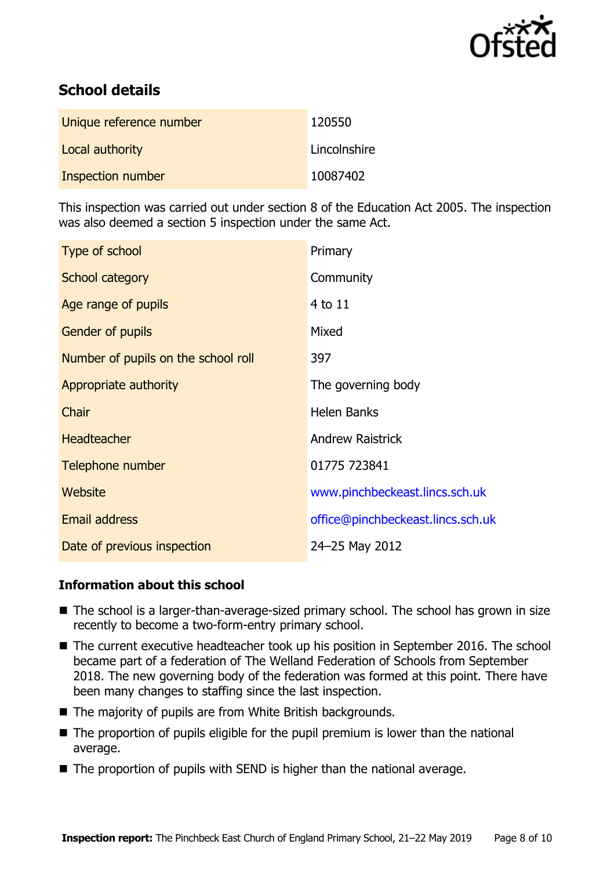

# **School details**

| Unique reference number | 120550       |
|-------------------------|--------------|
| Local authority         | Lincolnshire |
| Inspection number       | 10087402     |

This inspection was carried out under section 8 of the Education Act 2005. The inspection was also deemed a section 5 inspection under the same Act.

| Type of school                      | Primary                           |
|-------------------------------------|-----------------------------------|
| School category                     | Community                         |
| Age range of pupils                 | $4$ to $11$                       |
| Gender of pupils                    | Mixed                             |
| Number of pupils on the school roll | 397                               |
| Appropriate authority               | The governing body                |
| Chair                               | <b>Helen Banks</b>                |
| <b>Headteacher</b>                  | <b>Andrew Raistrick</b>           |
| Telephone number                    | 01775 723841                      |
| Website                             | www.pinchbeckeast.lincs.sch.uk    |
| Email address                       | office@pinchbeckeast.lincs.sch.uk |
| Date of previous inspection         | 24-25 May 2012                    |

### **Information about this school**

- The school is a larger-than-average-sized primary school. The school has grown in size recently to become a two-form-entry primary school.
- The current executive headteacher took up his position in September 2016. The school became part of a federation of The Welland Federation of Schools from September 2018. The new governing body of the federation was formed at this point. There have been many changes to staffing since the last inspection.
- The majority of pupils are from White British backgrounds.
- The proportion of pupils eligible for the pupil premium is lower than the national average.
- The proportion of pupils with SEND is higher than the national average.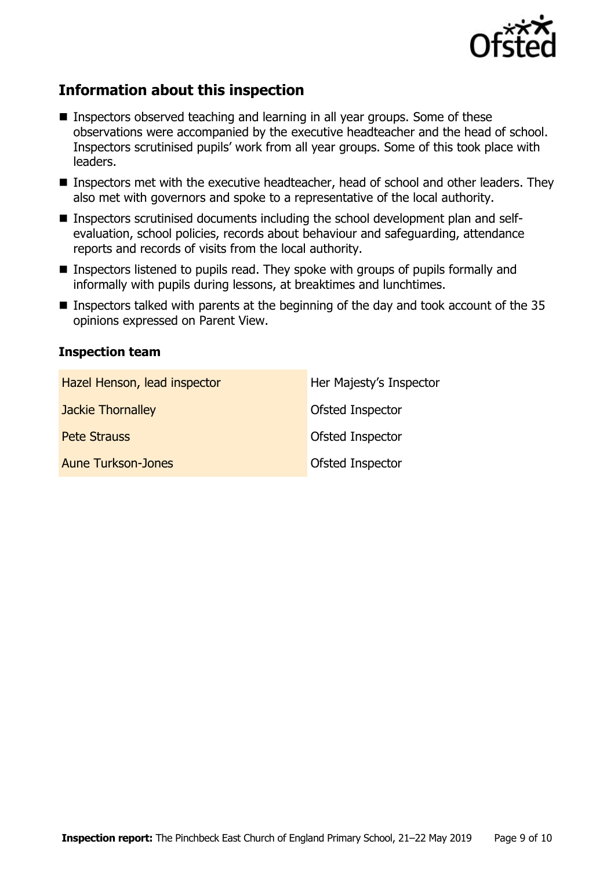

# **Information about this inspection**

- **Inspectors observed teaching and learning in all year groups. Some of these** observations were accompanied by the executive headteacher and the head of school. Inspectors scrutinised pupils' work from all year groups. Some of this took place with leaders.
- Inspectors met with the executive headteacher, head of school and other leaders. They also met with governors and spoke to a representative of the local authority.
- Inspectors scrutinised documents including the school development plan and selfevaluation, school policies, records about behaviour and safeguarding, attendance reports and records of visits from the local authority.
- Inspectors listened to pupils read. They spoke with groups of pupils formally and informally with pupils during lessons, at breaktimes and lunchtimes.
- **Inspectors talked with parents at the beginning of the day and took account of the 35** opinions expressed on Parent View.

#### **Inspection team**

| Hazel Henson, lead inspector | Her Majesty's Inspector |
|------------------------------|-------------------------|
| Jackie Thornalley            | Ofsted Inspector        |
| <b>Pete Strauss</b>          | Ofsted Inspector        |
| <b>Aune Turkson-Jones</b>    | Ofsted Inspector        |